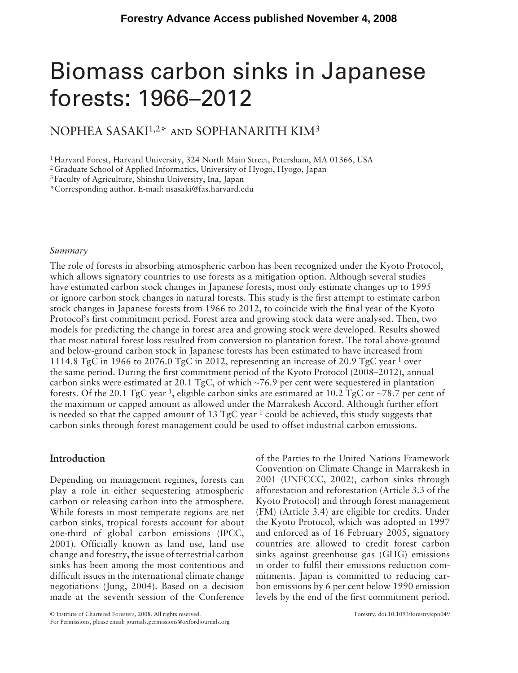# Biomass carbon sinks in Japanese forests: 1966 – 2012

## NOPHEA SASAKI<sup>1,2\*</sup> and SOPHANARITH KIM<sup>3</sup>

1 Harvard Forest, Harvard University, 324 North Main Street, Petersham, MA 01366, USA

2 Graduate School of Applied Informatics, University of Hyogo, Hyogo, Japan

3 Faculty of Agriculture, Shinshu University, Ina, Japan

\* Corresponding author. E-mail: nsasaki@fas.harvard.edu

#### *Summary*

 The role of forests in absorbing atmospheric carbon has been recognized under the Kyoto Protocol, which allows signatory countries to use forests as a mitigation option. Although several studies have estimated carbon stock changes in Japanese forests, most only estimate changes up to 1995 or ignore carbon stock changes in natural forests. This study is the first attempt to estimate carbon stock changes in Japanese forests from 1966 to 2012, to coincide with the final year of the Kyoto Protocol's first commitment period. Forest area and growing stock data were analysed. Then, two models for predicting the change in forest area and growing stock were developed. Results showed that most natural forest loss resulted from conversion to plantation forest. The total above-ground and below-ground carbon stock in Japanese forests has been estimated to have increased from 1114.8 TgC in 1966 to 2076.0 TgC in 2012, representing an increase of 20.9 TgC year<sup>-1</sup> over the same period. During the first commitment period of the Kyoto Protocol (2008–2012), annual carbon sinks were estimated at 20.1 TgC, of which  $\sim$ 76.9 per cent were sequestered in plantation forests. Of the 20.1 TgC year<sup>-1</sup>, eligible carbon sinks are estimated at 10.2 TgC or  $\sim$ 78.7 per cent of the maximum or capped amount as allowed under the Marrakesh Accord. Although further effort is needed so that the capped amount of 13 TgC year<sup>-1</sup> could be achieved, this study suggests that carbon sinks through forest management could be used to offset industrial carbon emissions.

## **Introduction**

Depending on management regimes, forests can play a role in either sequestering atmospheric carbon or releasing carbon into the atmosphere. While forests in most temperate regions are net carbon sinks, tropical forests account for about one-third of global carbon emissions (IPCC, 2001). Officially known as land use, land use change and forestry, the issue of terrestrial carbon sinks has been among the most contentious and difficult issues in the international climate change negotiations (Jung, 2004). Based on a decision made at the seventh session of the Conference of the Parties to the United Nations Framework Convention on Climate Change in Marrakesh in 2001 (UNFCCC, 2002), carbon sinks through afforestation and reforestation (Article 3.3 of the Kyoto Protocol) and through forest management (FM) (Article 3.4) are eligible for credits. Under the Kyoto Protocol, which was adopted in 1997 and enforced as of 16 February 2005, signatory countries are allowed to credit forest carbon sinks against greenhouse gas (GHG) emissions in order to fulfil their emissions reduction commitments. Japan is committed to reducing carbon emissions by 6 per cent below 1990 emission levels by the end of the first commitment period.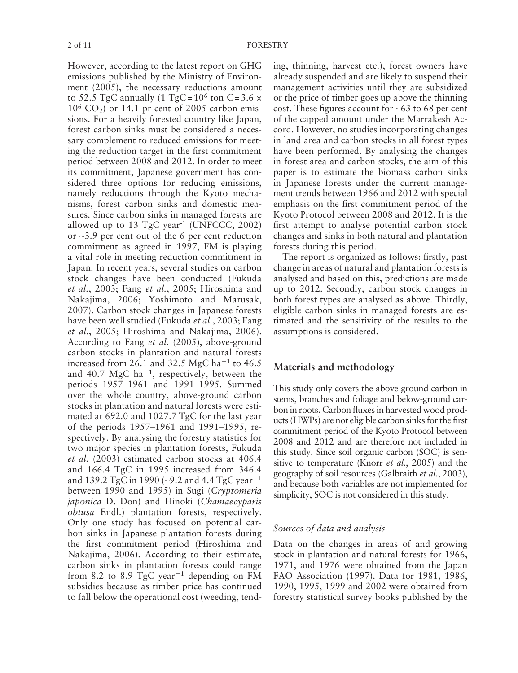However, according to the latest report on GHG emissions published by the Ministry of Environment (2005), the necessary reductions amount to 52.5 TgC annually  $(1 \text{ TgC} = 10^6 \text{ ton C} = 3.6 \times$  $10^6$  CO<sub>2</sub>) or 14.1 pr cent of 2005 carbon emissions. For a heavily forested country like Japan, forest carbon sinks must be considered a necessary complement to reduced emissions for meeting the reduction target in the first commitment period between 2008 and 2012. In order to meet its commitment, Japanese government has considered three options for reducing emissions, namely reductions through the Kyoto mechanisms, forest carbon sinks and domestic measures. Since carbon sinks in managed forests are allowed up to  $13$  TgC year<sup>-1</sup> (UNFCCC, 2002) or  $\sim$ 3.9 per cent out of the 6 per cent reduction commitment as agreed in 1997, FM is playing a vital role in meeting reduction commitment in Japan. In recent years, several studies on carbon stock changes have been conducted (Fukuda *et al.*, 2003; Fang *et al.*, 2005; Hiroshima and Nakajima, 2006; Yoshimoto and Marusak, 2007). Carbon stock changes in Japanese forests have been well studied (Fukuda *et al.*, 2003; Fang et al., 2005; Hiroshima and Nakajima, 2006). According to Fang *et al.* (2005), above-ground carbon stocks in plantation and natural forests increased from 26.1 and 32.5 MgC ha<sup> $-1$ </sup> to 46.5 and 40.7 MgC ha<sup> $-1$ </sup>, respectively, between the periods 1957-1961 and 1991-1995. Summed over the whole country, above-ground carbon stocks in plantation and natural forests were estimated at 692.0 and 1027.7 TgC for the last year of the periods 1957–1961 and 1991–1995, respectively. By analysing the forestry statistics for two major species in plantation forests, Fukuda et al. (2003) estimated carbon stocks at 406.4 and 166.4 TgC in 1995 increased from 346.4 and 139.2 TgC in 1990 ( $\sim$ 9.2 and 4.4 TgC year<sup>-1</sup> between 1990 and 1995) in Sugi (*Cryptomeria japonica* D. Don) and Hinoki ( *Chamaecyparis obtusa* Endl.) plantation forests, respectively. Only one study has focused on potential carbon sinks in Japanese plantation forests during the first commitment period (Hiroshima and Nakajima, 2006). According to their estimate, carbon sinks in plantation forests could range from 8.2 to 8.9 TgC year<sup>-1</sup> depending on FM subsidies because as timber price has continued to fall below the operational cost (weeding, tend-

ing, thinning, harvest etc.), forest owners have already suspended and are likely to suspend their management activities until they are subsidized or the price of timber goes up above the thinning cost. These figures account for  $\sim 63$  to 68 per cent of the capped amount under the Marrakesh Accord. However, no studies incorporating changes in land area and carbon stocks in all forest types have been performed. By analysing the changes in forest area and carbon stocks, the aim of this paper is to estimate the biomass carbon sinks in Japanese forests under the current management trends between 1966 and 2012 with special emphasis on the first commitment period of the Kyoto Protocol between 2008 and 2012. It is the first attempt to analyse potential carbon stock changes and sinks in both natural and plantation forests during this period.

The report is organized as follows: firstly, past change in areas of natural and plantation forests is analysed and based on this, predictions are made up to 2012. Secondly, carbon stock changes in both forest types are analysed as above. Thirdly, eligible carbon sinks in managed forests are estimated and the sensitivity of the results to the assumptions is considered.

### **Materials and methodology**

This study only covers the above-ground carbon in stems, branches and foliage and below-ground carbon in roots. Carbon fluxes in harvested wood products (HWPs) are not eligible carbon sinks for the first commitment period of the Kyoto Protocol between 2008 and 2012 and are therefore not included in this study. Since soil organic carbon (SOC) is sensitive to temperature (Knorr *et al.*, 2005) and the geography of soil resources ( Galbraith *et al.*, 2003 ), and because both variables are not implemented for simplicity, SOC is not considered in this study.

#### *Sources of data and analysis*

Data on the changes in areas of and growing stock in plantation and natural forests for 1966, 1971, and 1976 were obtained from the Japan FAO Association (1997). Data for 1981, 1986, 1990, 1995, 1999 and 2002 were obtained from forestry statistical survey books published by the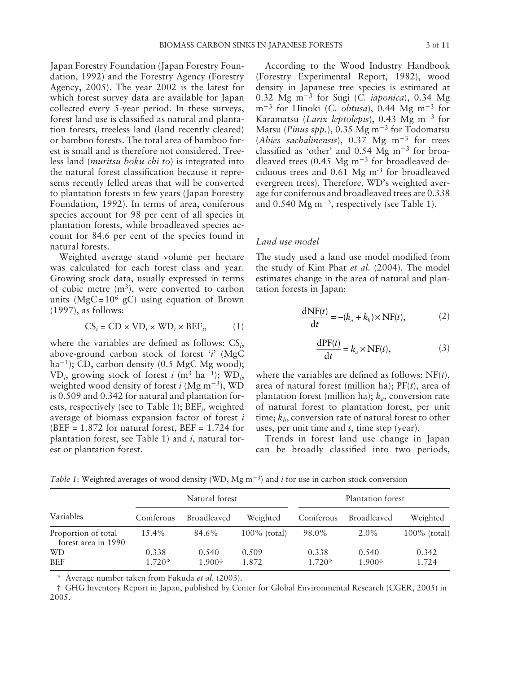Japan Forestry Foundation ( Japan Forestry Foundation, 1992) and the Forestry Agency (Forestry Agency, 2005). The year 2002 is the latest for which forest survey data are available for Japan collected every 5-year period. In these surveys, forest land use is classified as natural and plantation forests, treeless land (land recently cleared) or bamboo forests. The total area of bamboo forest is small and is therefore not considered. Treeless land ( *muritsu boku chi to*) is integrated into the natural forest classification because it represents recently felled areas that will be converted to plantation forests in few years ( Japan Forestry Foundation, 1992). In terms of area, coniferous species account for 98 per cent of all species in plantation forests, while broadleaved species account for 84.6 per cent of the species found in natural forests.

Weighted average stand volume per hectare was calculated for each forest class and year. Growing stock data, usually expressed in terms of cubic metre  $(m<sup>3</sup>)$ , were converted to carbon units ( $MgC = 10^6$  gC) using equation of Brown (1997), as follows:

$$
CS_i = CD \times VD_i \times WD_i \times BEF_i, \qquad (1)
$$

where the variables are defined as follows:  $CS_i$ , above-ground carbon stock of forest  $i^*$  (MgC ha<sup> $-1$ </sup>); CD, carbon density (0.5 MgC Mg wood);  $VD_i$ , growing stock of forest *i* (m<sup>3</sup> ha<sup>-1</sup>);  $WD_i$ , weighted wood density of forest  $i$  (Mg m<sup>-3</sup>), WD is 0.509 and 0.342 for natural and plantation forests, respectively (see to Table 1); BEF<sub>*i*</sub>, weighted average of biomass expansion factor of forest *i* (BEF =  $1.872$  for natural forest, BEF =  $1.724$  for plantation forest, see Table 1) and  $i$ , natural forest or plantation forest.

According to the Wood Industry Handbook (Forestry Experimental Report, 1982), wood density in Japanese tree species is estimated at 0.32 Mg  $m^{-3}$  for Sugi (*C. japonica*), 0.34 Mg  $m^{-3}$  for Hinoki (*C. obtusa*), 0.44 Mg  $m^{-3}$  for Karamatsu (*Larix leptolepis*), 0.43 Mg m<sup>-3</sup> for Matsu (*Pinus spp.*),  $0.35 \text{ Mg m}^{-3}$  for Todomatsu (*Abies sachalinensis*),  $0.37 \text{ Mg} \text{ m}^{-3}$  for trees classified as 'other' and  $0.54$  Mg m<sup>-3</sup> for broadleaved trees (0.45 Mg  $\text{m}^{-3}$  for broadleaved deciduous trees and  $0.61$  Mg m<sup>-3</sup> for broadleaved evergreen trees). Therefore, WD's weighted average for coniferous and broadleaved trees are 0.338 and 0.540 Mg  $m^{-3}$ , respectively (see Table 1).

#### *Land use model*

The study used a land use model modified from the study of Kim Phat *et al.* (2004). The model estimates change in the area of natural and plantation forests in Japan:

$$
\frac{\text{dNF}(t)}{\text{d}t} = -(k_a + k_b) \times \text{NF}(t),\tag{2}
$$

$$
\frac{\text{dPF}(t)}{\text{d}t} = k_a \times \text{NF}(t),\tag{3}
$$

where the variables are defined as follows:  $NF(t)$ , area of natural forest (million ha);  $PF(t)$ , area of plantation forest (million ha);  $k_a$ , conversion rate of natural forest to plantation forest, per unit time;  $k_b$ , conversion rate of natural forest to other uses, per unit time and *t*, time step (year).

Trends in forest land use change in Japan can be broadly classified into two periods,

*Table 1*: Weighted averages of wood density (WD, Mg  $m^{-3}$ ) and *i* for use in carbon stock conversion

|                                            | Natural forest    |                 |                 | Plantation forest |                 |                 |
|--------------------------------------------|-------------------|-----------------|-----------------|-------------------|-----------------|-----------------|
| Variables                                  | Coniferous        | Broadleaved     | Weighted        | Coniferous        | Broadleaved     | Weighted        |
| Proportion of total<br>forest area in 1990 | $15.4\%$          | 84.6%           | $100\%$ (total) | 98.0%             | $2.0\%$         | $100\%$ (total) |
| WD<br><b>BEF</b>                           | 0.338<br>$1.720*$ | 0.540<br>1.900† | 0.509<br>1.872  | 0.338<br>$1.720*$ | 0.540<br>1.900† | 0.342<br>1.724  |

Average number taken from Fukuda et al. (2003).

 † GHG Inventory Report in Japan, published by Center for Global Environmental Research ( CGER, 2005 ) in 2005.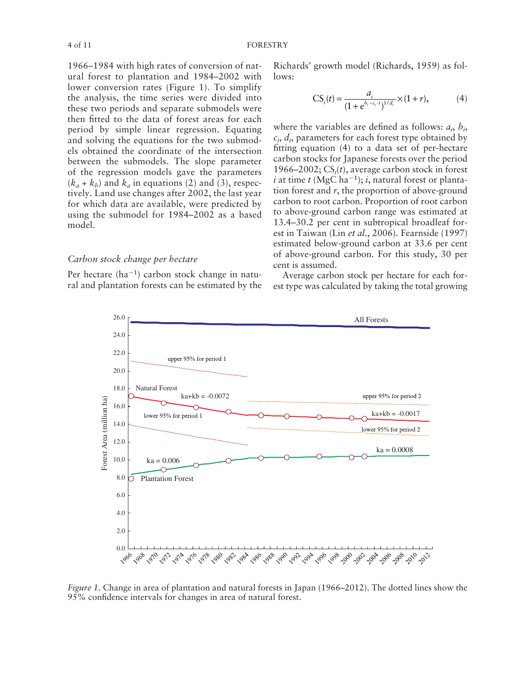1966–1984 with high rates of conversion of natural forest to plantation and 1984-2002 with lower conversion rates (Figure 1). To simplify the analysis, the time series were divided into these two periods and separate submodels were then fitted to the data of forest areas for each period by simple linear regression. Equating and solving the equations for the two submodels obtained the coordinate of the intersection between the submodels. The slope parameter of the regression models gave the parameters  $(k_a + k_b)$  and  $k_a$  in equations (2) and (3), respectively. Land use changes after 2002, the last year for which data are available, were predicted by using the submodel for 1984–2002 as a based model.

#### *Carbon stock change per hectare*

Per hectare  $(ha^{-1})$  carbon stock change in natural and plantation forests can be estimated by the Richards' growth model (Richards, 1959) as follows:

CS<sub>i</sub>(t) = 
$$
\frac{a_i}{(1 + e^{b_i - c_i \cdot t})^{1/d_i}} \times (1 + r),
$$
 (4)

where the variables are defined as follows:  $a_i$ ,  $b_i$ ,  $c_i$ ,  $d_i$ , parameters for each forest type obtained by fitting equation  $(4)$  to a data set of per-hectare carbon stocks for Japanese forests over the period 1966–2002;  $CS<sub>i</sub>(t)$ , average carbon stock in forest  $i$  at time  $t$  (MgC ha<sup>-1</sup>);  $i$ , natural forest or plantation forest and *r*, the proportion of above-ground carbon to root carbon. Proportion of root carbon to above-ground carbon range was estimated at 13.4–30.2 per cent in subtropical broadleaf forest in Taiwan (Lin *et al.*, 2006). Fearnside (1997) estimated below-ground carbon at 33.6 per cent of above-ground carbon. For this study, 30 per cent is assumed.

Average carbon stock per hectare for each forest type was calculated by taking the total growing



*Figure 1.* Change in area of plantation and natural forests in Japan (1966–2012). The dotted lines show the 95% confidence intervals for changes in area of natural forest.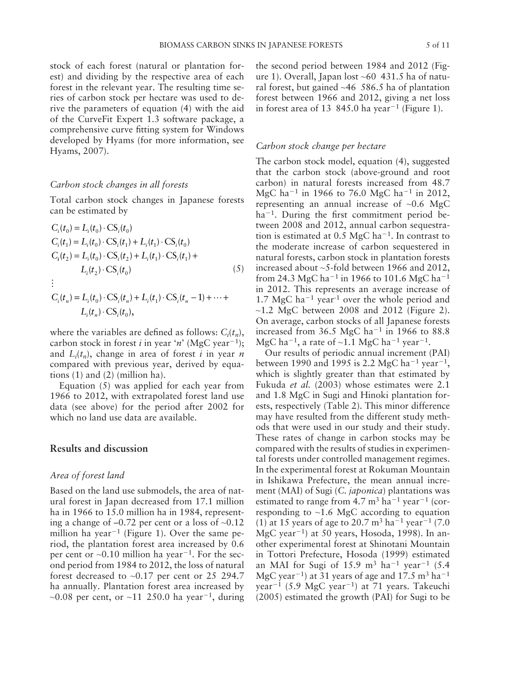stock of each forest (natural or plantation forest) and dividing by the respective area of each forest in the relevant year. The resulting time series of carbon stock per hectare was used to derive the parameters of equation (4) with the aid of the CurveFit Expert 1.3 software package, a comprehensive curve fitting system for Windows developed by Hyams (for more information, see Hyams, 2007).

#### *Carbon stock changes in all forests*

Total carbon stock changes in Japanese forests can be estimated by

$$
C_i(t_0) = L_i(t_0) \cdot CS_i(t_0)
$$
  
\n
$$
C_i(t_1) = L_i(t_0) \cdot CS_i(t_1) + L_i(t_1) \cdot CS_i(t_0)
$$
  
\n
$$
C_i(t_2) = L_i(t_0) \cdot CS_i(t_2) + L_i(t_1) \cdot CS_i(t_1) + L_i(t_2) \cdot CS_i(t_0)
$$
  
\n:  
\n:  
\n
$$
C_i(t_1) - L_i(t_2) \cdot CS_i(t_1) + L_i(t_1) \cdot CS_i(t_1) + L_i(t_2) \cdot CS_i(t_2) + L_i(t_2) \cdot CS_i(t_2) + L_i(t_1) \cdot CS_i(t_2) + L_i(t_2) \cdot CS_i(t_1) + L_i(t_2) \cdot CS_i(t_2) + L_i(t_2) \cdot CS_i(t_2) + L_i(t_2) \cdot CS_i(t_2) + L_i(t_2) \cdot CS_i(t_2) + L_i(t_2) \cdot CS_i(t_2) + L_i(t_2) \cdot CS_i(t_2) + L_i(t_2) \cdot CS_i(t_2) + L_i(t_2) \cdot CS_i(t_2) + L_i(t_2) \cdot CS_i(t_2) + L_i(t_2) \cdot CS_i(t_2) + L_i(t_2) \cdot CS_i(t_2) + L_i(t_2) \cdot CS_i(t_2) + L_i(t_2) \cdot CS_i(t_2) + L_i(t_2) \cdot CS_i(t_2) + L_i(t_2) \cdot CS_i(t_2) + L_i(t_2) \cdot CS_i(t_2) + L_i(t_2) \cdot CS_i(t_2) + L_i(t_2) \cdot CS_i(t_2) + L_i(t_2) \cdot CS_i(t_2) + L_i(t_2) \cdot CS_i(t_2) + L_i(t_2) \cdot CS_i(t_2) + L_i(t_2) \cdot CS_i(t_2) + L_i(t_2) \cdot CS_i(t_2) + L_i(t_2) \cdot CS_i(t_2) + L_i(t_2) \cdot CS_i(t_2) + L_i(t_2) \cdot CS_i(t_2) + L_i(t_2) \cdot CS_i(t_2) + L_i(t_2) \cdot CS_i(t_2) + L_i(t_2) \cdot CS_i(t_2) + L_i(t_2) \cdot CS_i(t_2) + C_i(t_2) \cdot CS_i(t_2) + C_i(t_2) \cdot CS_i(t_2) + C_i(t_2) \cdot CS_i(t_2) + C_i(t_2) \cdot CS_i(t_2) + C_i(t
$$

$$
C_i(t_n) = L_i(t_0) \cdot CS_i(t_n) + L_i(t_1) \cdot CS_i(t_n - 1) + \dots + L_i(t_n) \cdot CS_i(t_0),
$$

where the variables are defined as follows:  $C_i(t_n)$ , carbon stock in forest *i* in year '*n*' (MgC year<sup>-1</sup>); and  $L_i(t_n)$ , change in area of forest *i* in year *n* compared with previous year, derived by equations  $(1)$  and  $(2)$  (million ha).

Equation  $(5)$  was applied for each year from 1966 to 2012, with extrapolated forest land use data (see above) for the period after 2002 for which no land use data are available.

#### **Results and discussion**

#### *Area of forest land*

Based on the land use submodels, the area of natural forest in Japan decreased from 17.1 million ha in 1966 to 15.0 million ha in 1984, representing a change of  $-0.72$  per cent or a loss of  $\sim 0.12$ million ha year<sup> $-1$ </sup> (Figure 1). Over the same period, the plantation forest area increased by 0.6 per cent or  $\sim 0.10$  million ha year<sup>-1</sup>. For the second period from 1984 to 2012, the loss of natural forest decreased to ~0.17 per cent or 25 294.7 ha annually. Plantation forest area increased by  $\sim$ 0.08 per cent, or  $\sim$ 11 250.0 ha year<sup>-1</sup>, during the second period between 1984 and 2012 (Figure 1). Overall, Japan lost  $~60$  431.5 ha of natural forest, but gained  $~46$  586.5 ha of plantation forest between 1966 and 2012, giving a net loss in forest area of 13 845.0 ha year<sup> $-1$ </sup> (Figure 1).

#### *Carbon stock change per hectare*

The carbon stock model, equation (4), suggested that the carbon stock (above-ground and root carbon) in natural forests increased from 48.7 MgC ha<sup> $-1$ </sup> in 1966 to 76.0 MgC ha<sup> $-1$ </sup> in 2012, representing an annual increase of  $\sim 0.6$  MgC  $ha^{-1}$ . During the first commitment period between 2008 and 2012, annual carbon sequestration is estimated at  $0.5 \text{ MgC} \text{ ha}^{-1}$ . In contrast to the moderate increase of carbon sequestered in natural forests, carbon stock in plantation forests increased about ~5-fold between 1966 and 2012, from 24.3 MgC ha<sup>-1</sup> in 1966 to 101.6 MgC ha<sup>-1</sup> in 2012. This represents an average increase of 1.7 MgC ha<sup> $-1$ </sup> year<sup>-1</sup> over the whole period and  $\sim$ 1.2 MgC between 2008 and 2012 (Figure 2). On average, carbon stocks of all Japanese forests increased from  $36.5 \text{ MgC}$  ha<sup>-1</sup> in 1966 to 88.8 MgC ha<sup> $-1$ </sup>, a rate of  $\sim$ 1.1 MgC ha<sup> $-1$ </sup> year<sup> $-1$ </sup>.

Our results of periodic annual increment (PAI) between 1990 and 1995 is 2.2 MgC ha<sup>-1</sup> year<sup>-1</sup>, which is slightly greater than that estimated by Fukuda et al. (2003) whose estimates were 2.1 and 1.8 MgC in Sugi and Hinoki plantation forests, respectively (Table 2). This minor difference may have resulted from the different study methods that were used in our study and their study. These rates of change in carbon stocks may be compared with the results of studies in experimental forests under controlled management regimes. In the experimental forest at Rokuman Mountain in Ishikawa Prefecture, the mean annual increment (MAI) of Sugi (*C. japonica*) plantations was estimated to range from  $4.7 \text{ m}^3 \text{ ha}^{-1} \text{ year}^{-1}$  (corresponding to  $~1.6$  MgC according to equation (1) at 15 years of age to 20.7  $\rm m^3$  ha<sup>-1</sup> year<sup>-1</sup> (7.0)  $MgC$  year<sup>-1</sup>) at 50 years, Hosoda, 1998). In another experimental forest at Shinotani Mountain in Tottori Prefecture, Hosoda (1999) estimated an MAI for Sugi of 15.9 m<sup>3</sup> ha<sup>-1</sup> year<sup>-1</sup> (5.4) MgC year<sup>-1</sup>) at 31 years of age and 17.5 m<sup>3</sup> ha<sup>-1</sup> year<sup> $-1$ </sup> (5.9 MgC year<sup> $-1$ </sup>) at 71 years. Takeuchi  $(2005)$  estimated the growth  $(PAI)$  for Sugi to be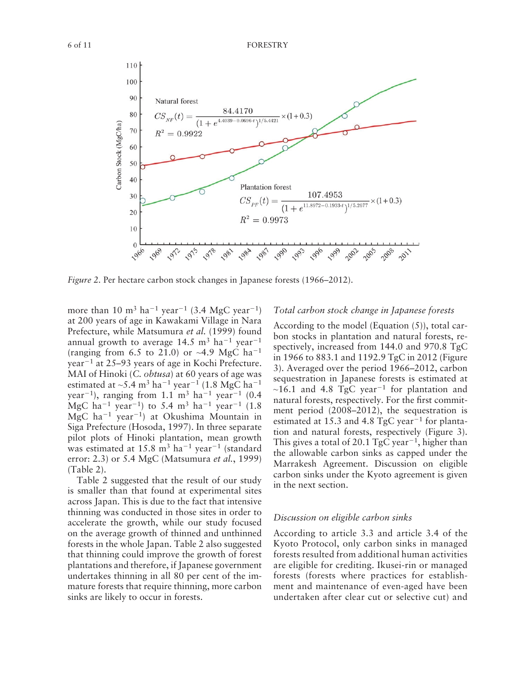

*Figure 2.* Per hectare carbon stock changes in Japanese forests (1966–2012).

more than 10 m<sup>3</sup> ha<sup>-1</sup> year<sup>-1</sup> (3.4 MgC year<sup>-1</sup>) at 200 years of age in Kawakami Village in Nara Prefecture, while Matsumura et al. (1999) found annual growth to average  $14.5 \text{ m}^3 \text{ ha}^{-1} \text{ year}^{-1}$ (ranging from 6.5 to 21.0) or  $\sim$ 4.9 MgC ha<sup>-1</sup> year<sup>-1</sup> at 25-93 years of age in Kochi Prefecture. MAI of Hinoki (C. obtusa) at 60 years of age was estimated at ~5.4 m<sup>3</sup> ha<sup>-1</sup> year<sup>-1</sup> (1.8 MgC ha<sup>-1</sup> year<sup>-1</sup>), ranging from 1.1 m<sup>3</sup> ha<sup>-1</sup> year<sup>-1</sup> (0.4 MgC ha<sup>-1</sup> year<sup>-1</sup>) to 5.4 m<sup>3</sup> ha<sup>-1</sup> year<sup>-1</sup> (1.8) MgC ha<sup>-1</sup> year<sup>-1</sup>) at Okushima Mountain in Siga Prefecture (Hosoda, 1997). In three separate pilot plots of Hinoki plantation, mean growth was estimated at  $15.8 \text{ m}^3 \text{ ha}^{-1} \text{ year}^{-1}$  (standard error: 2.3) or 5.4 MgC ( Matsumura *et al.*, 1999 )  $(Table 2)$ .

Table 2 suggested that the result of our study is smaller than that found at experimental sites across Japan. This is due to the fact that intensive thinning was conducted in those sites in order to accelerate the growth, while our study focused on the average growth of thinned and unthinned forests in the whole Japan. Table 2 also suggested that thinning could improve the growth of forest plantations and therefore, if Japanese government undertakes thinning in all 80 per cent of the immature forests that require thinning, more carbon sinks are likely to occur in forests.

#### *Total carbon stock change in Japanese forests*

According to the model (Equation  $(5)$ ), total carbon stocks in plantation and natural forests, respectively, increased from 144.0 and 970.8 TgC in 1966 to 883.1 and 1192.9 TgC in 2012 (Figure 3). Averaged over the period 1966–2012, carbon sequestration in Japanese forests is estimated at  $\sim$ 16.1 and 4.8 TgC year<sup>-1</sup> for plantation and natural forests, respectively. For the first commitment period (2008-2012), the sequestration is estimated at 15.3 and 4.8 TgC year<sup> $-1$ </sup> for plantation and natural forests, respectively (Figure 3). This gives a total of 20.1 TgC year<sup> $-1$ </sup>, higher than the allowable carbon sinks as capped under the Marrakesh Agreement. Discussion on eligible carbon sinks under the Kyoto agreement is given in the next section.

#### *Discussion on eligible carbon sinks*

According to article 3.3 and article 3.4 of the Kyoto Protocol, only carbon sinks in managed forests resulted from additional human activities are eligible for crediting. Ikusei-rin or managed forests (forests where practices for establishment and maintenance of even-aged have been undertaken after clear cut or selective cut) and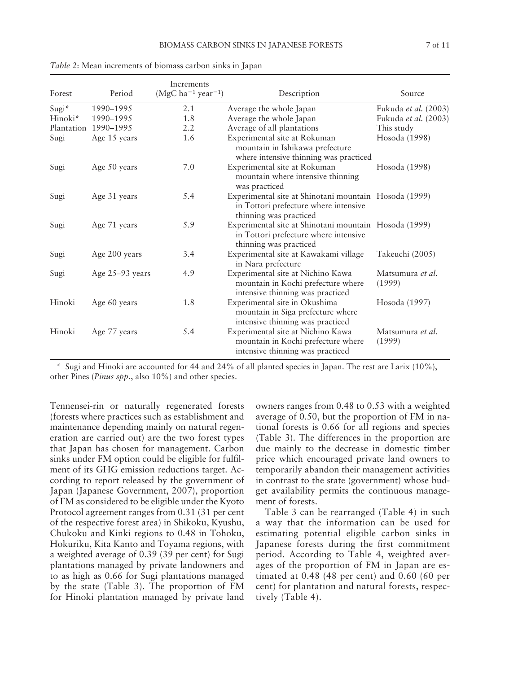| Forest              | Period               | Increments<br>$(MgC ha^{-1} year^{-1})$ | Description                                                                                                              | Source                      |
|---------------------|----------------------|-----------------------------------------|--------------------------------------------------------------------------------------------------------------------------|-----------------------------|
| Sugi*               | 1990-1995            | 2.1                                     | Average the whole Japan                                                                                                  | Fukuda <i>et al.</i> (2003) |
| Hinoki <sup>*</sup> | 1990-1995            | 1.8                                     | Average the whole Japan                                                                                                  | Fukuda et al. (2003)        |
|                     | Plantation 1990-1995 | 2.2                                     | Average of all plantations                                                                                               | This study                  |
| Sugi                | Age 15 years         | 1.6                                     | Experimental site at Rokuman<br>mountain in Ishikawa prefecture<br>where intensive thinning was practiced                | Hosoda (1998)               |
| Sugi                | Age 50 years         | 7.0                                     | Experimental site at Rokuman<br>mountain where intensive thinning<br>was practiced                                       | Hosoda (1998)               |
| Sugi                | Age 31 years         | 5.4                                     | Experimental site at Shinotani mountain Hosoda (1999)<br>in Tottori prefecture where intensive<br>thinning was practiced |                             |
| Sugi                | Age 71 years         | 5.9                                     | Experimental site at Shinotani mountain Hosoda (1999)<br>in Tottori prefecture where intensive<br>thinning was practiced |                             |
| Sugi                | Age 200 years        | 3.4                                     | Experimental site at Kawakami village<br>in Nara prefecture                                                              | Takeuchi (2005)             |
| Sugi                | Age $25-93$ years    | 4.9                                     | Experimental site at Nichino Kawa<br>mountain in Kochi prefecture where<br>intensive thinning was practiced              | Matsumura et al.<br>(1999)  |
| Hinoki              | Age 60 years         | 1.8                                     | Experimental site in Okushima<br>mountain in Siga prefecture where<br>intensive thinning was practiced                   | Hosoda (1997)               |
| Hinoki              | Age 77 years         | 5.4                                     | Experimental site at Nichino Kawa<br>mountain in Kochi prefecture where<br>intensive thinning was practiced              | Matsumura et al.<br>(1999)  |

*Table 2*: Mean increments of biomass carbon sinks in Japan

 \* Sugi and Hinoki are accounted for 44 and 24% of all planted species in Japan. The rest are Larix (10%), other Pines (*Pinus spp.*, also 10%) and other species.

Tennensei-rin or naturally regenerated forests (forests where practices such as establishment and maintenance depending mainly on natural regeneration are carried out) are the two forest types that Japan has chosen for management. Carbon sinks under FM option could be eligible for fulfilment of its GHG emission reductions target. According to report released by the government of Japan (Japanese Government, 2007), proportion of FM as considered to be eligible under the Kyoto Protocol agreement ranges from 0.31 (31 per cent of the respective forest area) in Shikoku, Kyushu, Chukoku and Kinki regions to 0.48 in Tohoku, Hokuriku, Kita Kanto and Toyama regions, with a weighted average of 0.39 (39 per cent) for Sugi plantations managed by private landowners and to as high as 0.66 for Sugi plantations managed by the state (Table 3). The proportion of FM for Hinoki plantation managed by private land

owners ranges from 0.48 to 0.53 with a weighted average of 0.50, but the proportion of FM in national forests is 0.66 for all regions and species (Table 3). The differences in the proportion are due mainly to the decrease in domestic timber price which encouraged private land owners to temporarily abandon their management activities in contrast to the state (government) whose budget availability permits the continuous management of forests.

Table 3 can be rearranged (Table 4) in such a way that the information can be used for estimating potential eligible carbon sinks in Japanese forests during the first commitment period. According to Table 4, weighted averages of the proportion of FM in Japan are estimated at 0.48 (48 per cent) and 0.60 (60 per cent) for plantation and natural forests, respectively (Table 4).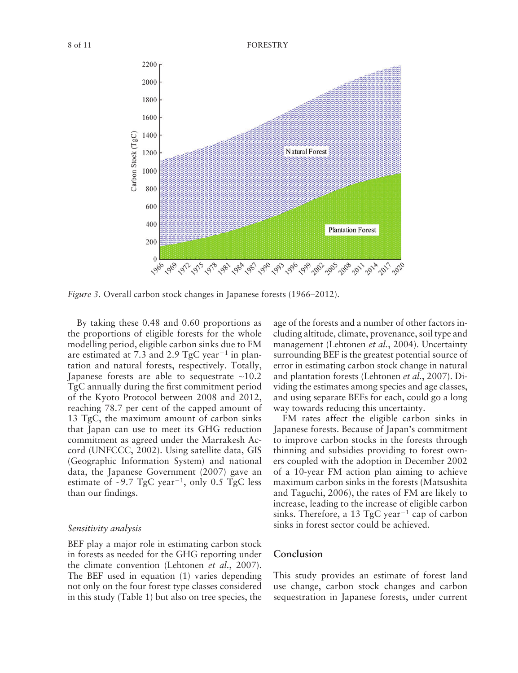

*Figure 3.* Overall carbon stock changes in Japanese forests (1966–2012).

By taking these 0.48 and 0.60 proportions as the proportions of eligible forests for the whole modelling period, eligible carbon sinks due to FM are estimated at 7.3 and 2.9 TgC year<sup> $-1$ </sup> in plantation and natural forests, respectively. Totally, Japanese forests are able to sequestrate  $~10.2$ TgC annually during the first commitment period of the Kyoto Protocol between 2008 and 2012, reaching 78.7 per cent of the capped amount of 13 TgC, the maximum amount of carbon sinks that Japan can use to meet its GHG reduction commitment as agreed under the Marrakesh Accord (UNFCCC, 2002). Using satellite data, GIS (Geographic Information System) and national data, the Japanese Government  $(2007)$  gave an estimate of  $\sim$ 9.7 TgC year<sup>-1</sup>, only 0.5 TgC less than our findings.

#### *Sensitivity analysis*

BEF play a major role in estimating carbon stock in forests as needed for the GHG reporting under the climate convention (Lehtonen *et al.*, 2007). The BEF used in equation  $(1)$  varies depending not only on the four forest type classes considered in this study  $(Table 1)$  but also on tree species, the age of the forests and a number of other factors including altitude, climate, provenance, soil type and management (Lehtonen et al., 2004). Uncertainty surrounding BEF is the greatest potential source of error in estimating carbon stock change in natural and plantation forests (Lehtonen *et al.*, 2007). Dividing the estimates among species and age classes, and using separate BEFs for each, could go a long way towards reducing this uncertainty.

FM rates affect the eligible carbon sinks in Japanese forests. Because of Japan's commitment to improve carbon stocks in the forests through thinning and subsidies providing to forest owners coupled with the adoption in December 2002 of a 10-year FM action plan aiming to achieve maximum carbon sinks in the forests ( Matsushita and Taguchi, 2006), the rates of FM are likely to increase, leading to the increase of eligible carbon sinks. Therefore, a 13 TgC year<sup> $-1$ </sup> cap of carbon sinks in forest sector could be achieved.

#### **Conclusion**

This study provides an estimate of forest land use change, carbon stock changes and carbon sequestration in Japanese forests, under current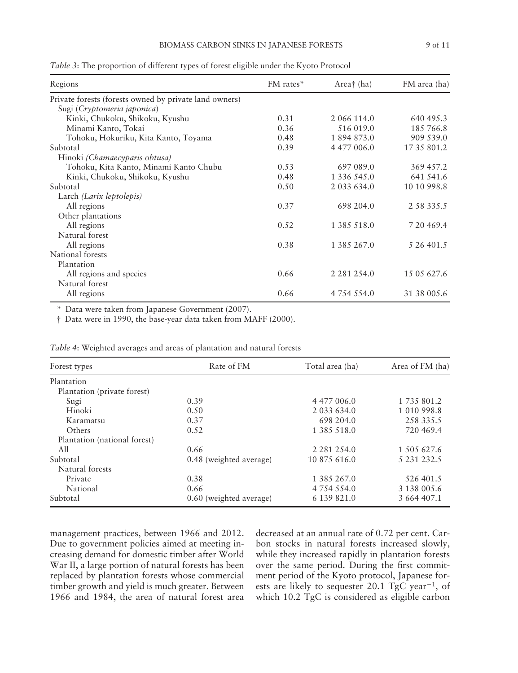| Regions                                                | FM rates* | Area† $(ha)$     | FM area (ha) |
|--------------------------------------------------------|-----------|------------------|--------------|
| Private forests (forests owned by private land owners) |           |                  |              |
| Sugi (Cryptomeria japonica)                            |           |                  |              |
| Kinki, Chukoku, Shikoku, Kyushu                        | 0.31      | 2 066 114.0      | 640 495.3    |
| Minami Kanto, Tokai                                    | 0.36      | 516 019.0        | 185 766.8    |
| Tohoku, Hokuriku, Kita Kanto, Toyama                   | 0.48      | 1894873.0        | 909 539.0    |
| Subtotal                                               | 0.39      | 4 477 006.0      | 17 35 801.2  |
| Hinoki (Chamaecyparis obtusa)                          |           |                  |              |
| Tohoku, Kita Kanto, Minami Kanto Chubu                 | 0.53      | 697 089.0        | 369 457.2    |
| Kinki, Chukoku, Shikoku, Kyushu                        | 0.48      | 1 336 545.0      | 641 541.6    |
| Subtotal                                               | 0.50      | 2 033 634.0      | 10 10 998.8  |
| Larch <i>(Larix leptolepis)</i>                        |           |                  |              |
| All regions                                            | 0.37      | 698 204.0        | 2 58 335.5   |
| Other plantations                                      |           |                  |              |
| All regions                                            | 0.52      | 1 385 518.0      | 7 20 4 69.4  |
| Natural forest                                         |           |                  |              |
| All regions                                            | 0.38      | 1 385 267.0      | 5 26 401.5   |
| National forests                                       |           |                  |              |
| Plantation                                             |           |                  |              |
| All regions and species                                | 0.66      | 2 2 8 1 2 5 4 .0 | 15 05 627.6  |
| Natural forest                                         |           |                  |              |
| All regions                                            | 0.66      | 4 754 554.0      | 31 38 005.6  |

*Table 3* : The proportion of different types of forest eligible under the Kyoto Protocol

\* Data were taken from Japanese Government (2007) .

† Data were in 1990, the base-year data taken from MAFF (2000) .

| Forest types                 | Rate of FM              | Total area (ha)  | Area of FM (ha) |
|------------------------------|-------------------------|------------------|-----------------|
| Plantation                   |                         |                  |                 |
| Plantation (private forest)  |                         |                  |                 |
| Sugi                         | 0.39                    | 4 477 006.0      | 1 735 801.2     |
| Hinoki                       | 0.50                    | 2 033 634.0      | 1 010 998.8     |
| Karamatsu                    | 0.37                    | 698 204.0        | 258 335.5       |
| Others                       | 0.52                    | 1 385 518.0      | 720 469.4       |
| Plantation (national forest) |                         |                  |                 |
| All                          | 0.66                    | 2 2 8 1 2 5 4 .0 | 1 505 627.6     |
| Subtotal                     | 0.48 (weighted average) | 10 875 616.0     | 5 231 232.5     |
| Natural forests              |                         |                  |                 |
| Private                      | 0.38                    | 1 385 267.0      | 526 401.5       |
| National                     | 0.66                    | 4 7 5 4 5 5 4 0  | 3 138 005.6     |
| Subtotal                     | 0.60 (weighted average) | 6 139 821.0      | 3 664 407.1     |

*Table 4* : Weighted averages and areas of plantation and natural forests

management practices, between 1966 and 2012. Due to government policies aimed at meeting increasing demand for domestic timber after World War II, a large portion of natural forests has been replaced by plantation forests whose commercial timber growth and yield is much greater. Between 1966 and 1984, the area of natural forest area decreased at an annual rate of 0.72 per cent. Carbon stocks in natural forests increased slowly, while they increased rapidly in plantation forests over the same period. During the first commitment period of the Kyoto protocol, Japanese forests are likely to sequester 20.1  $TgC$  year<sup>-1</sup>, of which 10.2 TgC is considered as eligible carbon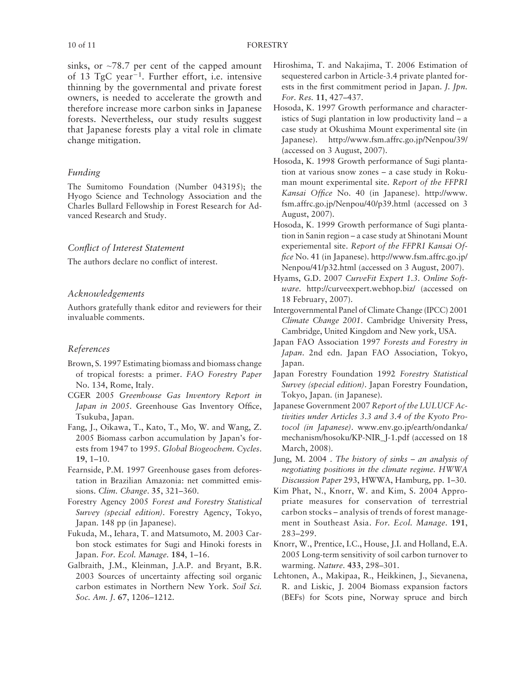sinks, or  $\approx$ 78.7 per cent of the capped amount of  $13$  TgC year<sup>-1</sup>. Further effort, i.e. intensive thinning by the governmental and private forest owners, is needed to accelerate the growth and therefore increase more carbon sinks in Japanese forests. Nevertheless, our study results suggest that Japanese forests play a vital role in climate change mitigation.

#### *Funding*

The Sumitomo Foundation (Number 043195); the Hyogo Science and Technology Association and the Charles Bullard Fellowship in Forest Research for Advanced Research and Study.

#### *Conflict of Interest Statement*

The authors declare no conflict of interest.

#### *Acknowledgements*

Authors gratefully thank editor and reviewers for their invaluable comments.

#### *References*

- Brown, S. 1997 Estimating biomass and biomass change of tropical forests: a primer. *FAO Forestry Paper*  No. 134, Rome, Italy.
- CGER 2005 *Greenhouse Gas Inventory Report in Japan in 2005*. Greenhouse Gas Inventory Office, Tsukuba, Japan.
- Fang, J., Oikawa, T., Kato, T., Mo, W. and Wang, Z. 2005 Biomass carbon accumulation by Japan's forests from 1947 to 1995 . *Global Biogeochem. Cycles* . 19, 1–10.
- Fearnside, P.M. 1997 Greenhouse gases from deforestation in Brazilian Amazonia: net committed emissions. *Clim. Change* . **35** , 321 – 360 .
- Forestry Agency 2005 *Forest and Forestry Statistical Survey (special edition)*. Forestry Agency, Tokyo, Japan. 148 pp (in Japanese) .
- Fukuda, M., Iehara, T. and Matsumoto, M. 2003 Carbon stock estimates for Sugi and Hinoki forests in Japan. For. Ecol. Manage. 184, 1-16.
- Galbraith, J.M., Kleinman, J.A.P. and Bryant, B.R. 2003 Sources of uncertainty affecting soil organic carbon estimates in Northern New York . *Soil Sci. Soc. Am. J.* 67, 1206-1212.
- Hiroshima, T. and Nakajima, T. 2006 Estimation of sequestered carbon in Article-3.4 private planted forests in the first commitment period in Japan. *J. Jpn. For. Res.* **11** , 427 – 437 .
- Hosoda, K. 1997 Growth performance and characteristics of Sugi plantation in low productivity land – a case study at Okushima Mount experimental site (in Japanese). http://www.fsm.affrc.go.jp/Nenpou/39/ (accessed on 3 August, 2007) .
- Hosoda, K. 1998 Growth performance of Sugi plantation at various snow zones – a case study in Rokuman mount experimental site. *Report of the FFPRI Kansai Office* No. 40 (in Japanese). http://www. fsm.affrc.go.jp/Nenpou/40/p39.html (accessed on 3 August, 2007) .
- Hosoda, K. 1999 Growth performance of Sugi plantation in Sanin region –a case study at Shinotani Mount experiemental site. *Report of the FFPRI Kansai Office* No. 41 (in Japanese). http://www.fsm.affrc.go.jp/ Nenpou/41/p32.html (accessed on 3 August, 2007).
- Hyams, G.D. 2007 *CurveFit Expert 1.3. Online Software*. http://curveexpert.webhop.biz/(accessed on 18 February, 2007) .
- Intergovernmental Panel of Climate Change (IPCC) 2001 *Climate Change 2001*. Cambridge University Press, Cambridge, United Kingdom and New york, USA .
- Japan FAO Association 1997 Forests and Forestry in Japan. 2nd edn. Japan FAO Association, Tokyo, Japan.
- Japan Forestry Foundation 1992 *Forestry Statistical Survey (special edition)*. Japan Forestry Foundation, Tokyo, Japan. (in Japanese).
- Japanese Government 2007 Report of the LULUCF Ac*tivities under Articles 3.3 and 3.4 of the Kyoto Protocol (in Japanese)*. www.env.go.jp/earth/ondanka/ mechanism/hosoku/KP-NIR\_J-1.pdf(accessed on 18 March, 2008).
- Jung, M. 2004 . *The history of sinks an analysis of negotiating positions in the climate regime*. *HWWA*  Discussion Paper 293, HWWA, Hamburg, pp. 1-30.
- Kim Phat, N., Knorr, W. and Kim, S. 2004 Appropriate measures for conservation of terrestrial carbon stocks –analysis of trends of forest management in Southeast Asia . *For. Ecol. Manage.* **191** , 283-299.
- Knorr, W., Prentice, I.C., House, J.I. and Holland, E.A. 2005 Long-term sensitivity of soil carbon turnover to warming. *Nature* . **433** , 298 – 301 .
- Lehtonen, A., Makipaa, R., Heikkinen, J., Sievanena, R. and Liskic, J. 2004 Biomass expansion factors (BEFs) for Scots pine, Norway spruce and birch